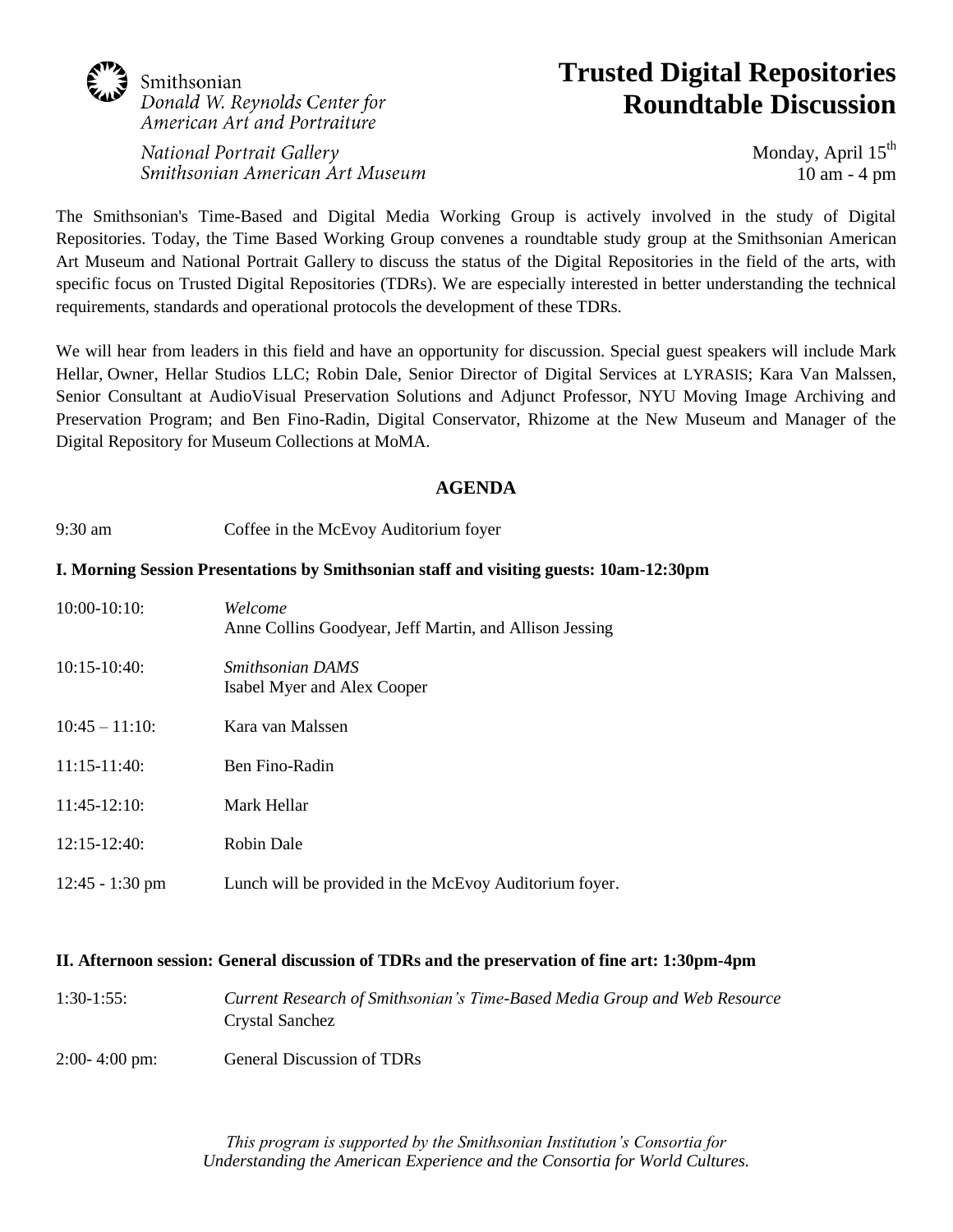# Smithsonian Donald W. Reynolds Center for American Art and Portraiture

### National Portrait Gallery Smithsonian American Art Museum

# **Trusted Digital Repositories Roundtable Discussion**

Monday, April  $15<sup>th</sup>$ 10 am - 4 pm

The Smithsonian's Time-Based and Digital Media Working Group is actively involved in the study of Digital Repositories. Today, the Time Based Working Group convenes a roundtable study group at the Smithsonian American Art Museum and National Portrait Gallery to discuss the status of the Digital Repositories in the field of the arts, with specific focus on Trusted Digital Repositories (TDRs). We are especially interested in better understanding the technical requirements, standards and operational protocols the development of these TDRs.

We will hear from leaders in this field and have an opportunity for discussion. Special guest speakers will include Mark Hellar, Owner, Hellar Studios LLC; Robin Dale, Senior Director of Digital Services at LYRASIS; Kara Van Malssen, Senior Consultant at AudioVisual Preservation Solutions and Adjunct Professor, NYU Moving Image Archiving and Preservation Program; and Ben Fino-Radin, Digital Conservator, Rhizome at the New Museum and Manager of the Digital Repository for Museum Collections at MoMA.

## **AGENDA**

9:30 am Coffee in the McEvoy Auditorium foyer

#### **I. Morning Session Presentations by Smithsonian staff and visiting guests: 10am-12:30pm**

| $10:00-10:10:$    | Welcome<br>Anne Collins Goodyear, Jeff Martin, and Allison Jessing |
|-------------------|--------------------------------------------------------------------|
| $10:15-10:40$ :   | <i><b>Smithsonian DAMS</b></i><br>Isabel Myer and Alex Cooper      |
| $10:45 - 11:10$   | Kara van Malssen                                                   |
| $11:15-11:40:$    | Ben Fino-Radin                                                     |
| $11:45-12:10:$    | Mark Hellar                                                        |
| $12:15-12:40:$    | Robin Dale                                                         |
| $12:45 - 1:30$ pm | Lunch will be provided in the McEvoy Auditorium foyer.             |

#### **II. Afternoon session: General discussion of TDRs and the preservation of fine art: 1:30pm-4pm**

- 1:30-1:55: *Current Research of Smithsonian's Time-Based Media Group and Web Resource* Crystal Sanchez
- 2:00- 4:00 pm: General Discussion of TDRs

*This program is supported by the Smithsonian Institution's Consortia for Understanding the American Experience and the Consortia for World Cultures.*